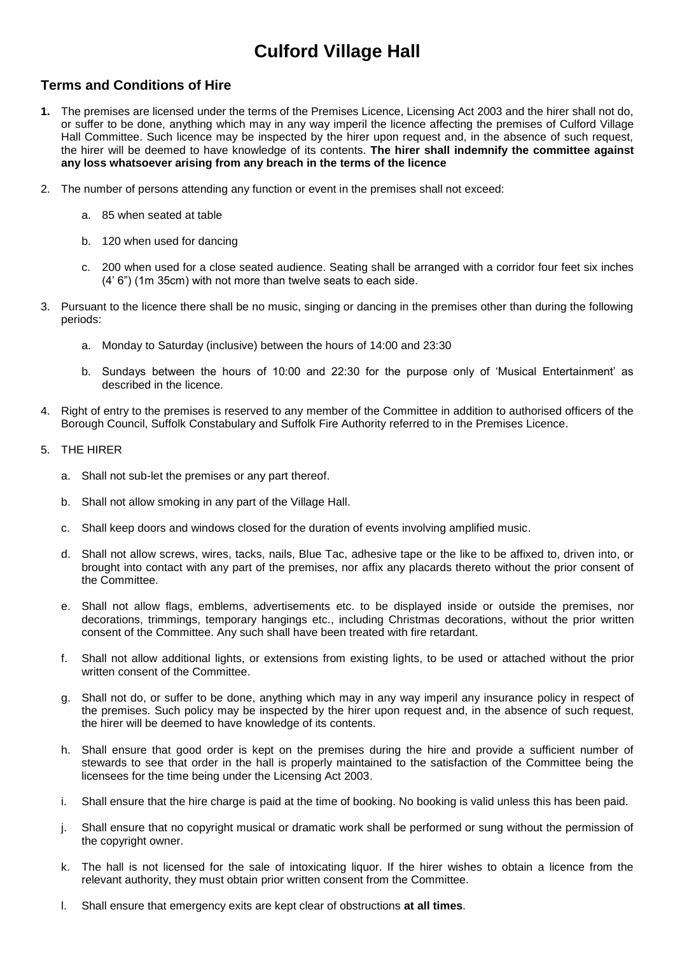# **Culford Village Hall**

#### **Terms and Conditions of Hire**

- **1.** The premises are licensed under the terms of the Premises Licence, Licensing Act 2003 and the hirer shall not do, or suffer to be done, anything which may in any way imperil the licence affecting the premises of Culford Village Hall Committee. Such licence may be inspected by the hirer upon request and, in the absence of such request, the hirer will be deemed to have knowledge of its contents. **The hirer shall indemnify the committee against any loss whatsoever arising from any breach in the terms of the licence**
- 2. The number of persons attending any function or event in the premises shall not exceed:
	- a. 85 when seated at table
	- b. 120 when used for dancing
	- c. 200 when used for a close seated audience. Seating shall be arranged with a corridor four feet six inches (4' 6") (1m 35cm) with not more than twelve seats to each side.
- 3. Pursuant to the licence there shall be no music, singing or dancing in the premises other than during the following periods:
	- a. Monday to Saturday (inclusive) between the hours of 14:00 and 23:30
	- b. Sundays between the hours of 10:00 and 22:30 for the purpose only of 'Musical Entertainment' as described in the licence.
- 4. Right of entry to the premises is reserved to any member of the Committee in addition to authorised officers of the Borough Council, Suffolk Constabulary and Suffolk Fire Authority referred to in the Premises Licence.
- 5. THE HIRER
	- a. Shall not sub-let the premises or any part thereof.
	- b. Shall not allow smoking in any part of the Village Hall.
	- c. Shall keep doors and windows closed for the duration of events involving amplified music.
	- d. Shall not allow screws, wires, tacks, nails, Blue Tac, adhesive tape or the like to be affixed to, driven into, or brought into contact with any part of the premises, nor affix any placards thereto without the prior consent of the Committee.
	- e. Shall not allow flags, emblems, advertisements etc. to be displayed inside or outside the premises, nor decorations, trimmings, temporary hangings etc., including Christmas decorations, without the prior written consent of the Committee. Any such shall have been treated with fire retardant.
	- f. Shall not allow additional lights, or extensions from existing lights, to be used or attached without the prior written consent of the Committee.
	- g. Shall not do, or suffer to be done, anything which may in any way imperil any insurance policy in respect of the premises. Such policy may be inspected by the hirer upon request and, in the absence of such request, the hirer will be deemed to have knowledge of its contents.
	- h. Shall ensure that good order is kept on the premises during the hire and provide a sufficient number of stewards to see that order in the hall is properly maintained to the satisfaction of the Committee being the licensees for the time being under the Licensing Act 2003.
	- i. Shall ensure that the hire charge is paid at the time of booking. No booking is valid unless this has been paid.
	- j. Shall ensure that no copyright musical or dramatic work shall be performed or sung without the permission of the copyright owner.
	- k. The hall is not licensed for the sale of intoxicating liquor. If the hirer wishes to obtain a licence from the relevant authority, they must obtain prior written consent from the Committee.
	- l. Shall ensure that emergency exits are kept clear of obstructions **at all times**.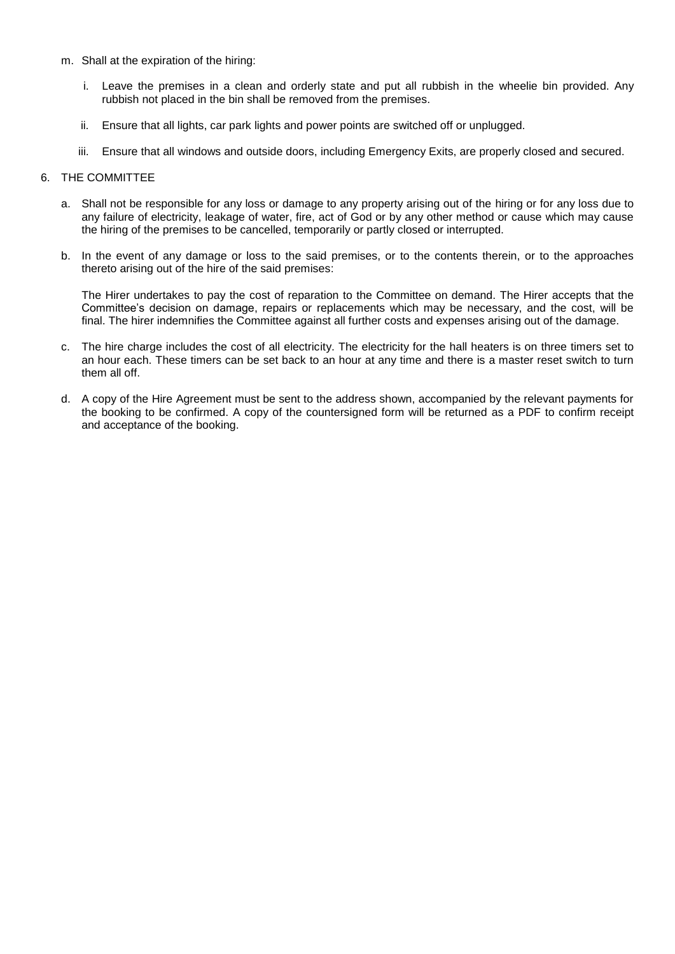- m. Shall at the expiration of the hiring:
	- i. Leave the premises in a clean and orderly state and put all rubbish in the wheelie bin provided. Any rubbish not placed in the bin shall be removed from the premises.
	- ii. Ensure that all lights, car park lights and power points are switched off or unplugged.
	- iii. Ensure that all windows and outside doors, including Emergency Exits, are properly closed and secured.

#### 6. THE COMMITTEE

- a. Shall not be responsible for any loss or damage to any property arising out of the hiring or for any loss due to any failure of electricity, leakage of water, fire, act of God or by any other method or cause which may cause the hiring of the premises to be cancelled, temporarily or partly closed or interrupted.
- b. In the event of any damage or loss to the said premises, or to the contents therein, or to the approaches thereto arising out of the hire of the said premises:

The Hirer undertakes to pay the cost of reparation to the Committee on demand. The Hirer accepts that the Committee's decision on damage, repairs or replacements which may be necessary, and the cost, will be final. The hirer indemnifies the Committee against all further costs and expenses arising out of the damage.

- c. The hire charge includes the cost of all electricity. The electricity for the hall heaters is on three timers set to an hour each. These timers can be set back to an hour at any time and there is a master reset switch to turn them all off.
- d. A copy of the Hire Agreement must be sent to the address shown, accompanied by the relevant payments for the booking to be confirmed. A copy of the countersigned form will be returned as a PDF to confirm receipt and acceptance of the booking.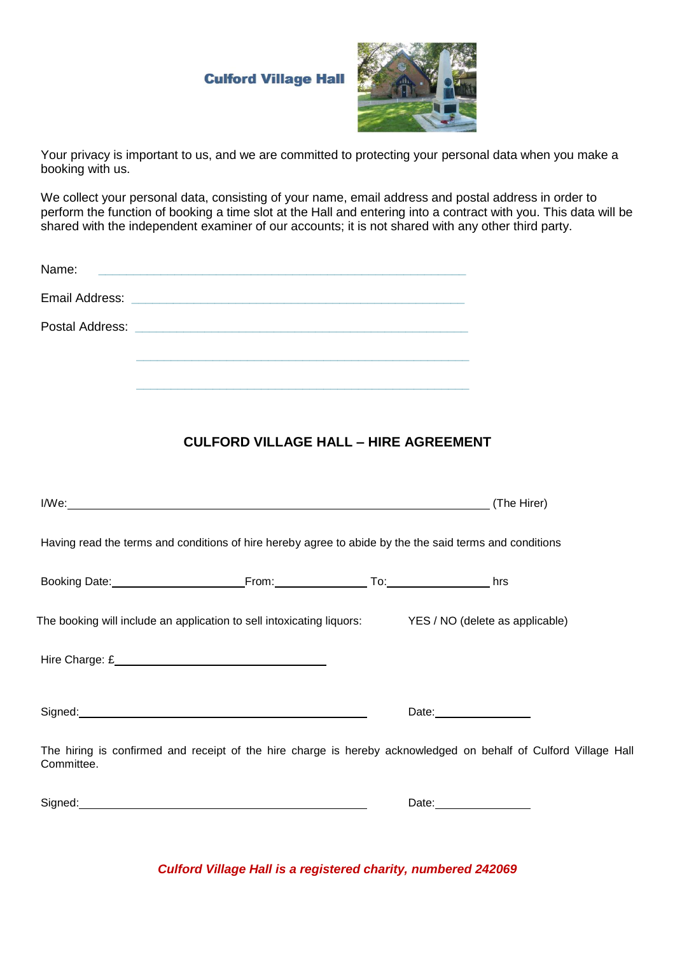### **Culford Village Hall**



Your privacy is important to us, and we are committed to protecting your personal data when you make a booking with us.

We collect your personal data, consisting of your name, email address and postal address in order to perform the function of booking a time slot at the Hall and entering into a contract with you. This data will be shared with the independent examiner of our accounts; it is not shared with any other third party.

| Name: | <u> Alexandria de la contrada de la contrada de la contrada de la contrada de la contrada de la contrada de la c</u> |  |
|-------|----------------------------------------------------------------------------------------------------------------------|--|
|       |                                                                                                                      |  |
|       |                                                                                                                      |  |

### **CULFORD VILLAGE HALL – HIRE AGREEMENT**

|                                                                                                                                                                                                                                      |  |                                          | (The Hirer) |  |  |
|--------------------------------------------------------------------------------------------------------------------------------------------------------------------------------------------------------------------------------------|--|------------------------------------------|-------------|--|--|
| Having read the terms and conditions of hire hereby agree to abide by the the said terms and conditions                                                                                                                              |  |                                          |             |  |  |
|                                                                                                                                                                                                                                      |  |                                          |             |  |  |
| The booking will include an application to sell intoxicating liquors: YES / NO (delete as applicable)                                                                                                                                |  |                                          |             |  |  |
|                                                                                                                                                                                                                                      |  |                                          |             |  |  |
| Signed: Signed: Signed: Signed: Signed: Signed: Signed: Signed: Signed: Signed: Signed: Signed: Signed: Signed: Signed: Signed: Signed: Signed: Signed: Signed: Signed: Signed: Signed: Signed: Signed: Signed: Signed: Signed       |  | Date: <u>with a series of the series</u> |             |  |  |
| The hiring is confirmed and receipt of the hire charge is hereby acknowledged on behalf of Culford Village Hall<br>Committee.                                                                                                        |  |                                          |             |  |  |
| Signed: <u>contract and a series of the series of the series of the series of the series of the series of the series of the series of the series of the series of the series of the series of the series of the series of the se</u> |  | Date: <u>Date:</u>                       |             |  |  |

*Culford Village Hall is a registered charity, numbered 242069*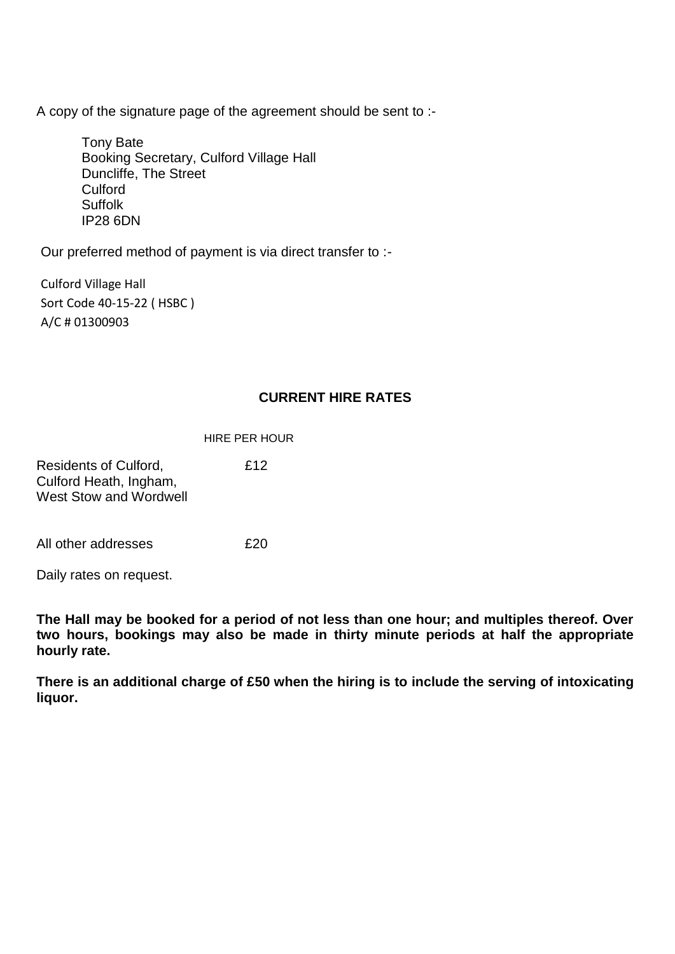A copy of the signature page of the agreement should be sent to :-

Tony Bate Booking Secretary, Culford Village Hall Duncliffe, The Street Culford Suffolk IP28 6DN

Our preferred method of payment is via direct transfer to :-

Culford Village Hall Sort Code 40-15-22 ( HSBC ) A/C # 01300903

#### **CURRENT HIRE RATES**

#### HIRE PER HOUR

Residents of Culford, £12 Culford Heath, Ingham, West Stow and Wordwell

All other addresses **E20** 

Daily rates on request.

**The Hall may be booked for a period of not less than one hour; and multiples thereof. Over two hours, bookings may also be made in thirty minute periods at half the appropriate hourly rate.**

**There is an additional charge of £50 when the hiring is to include the serving of intoxicating liquor.**